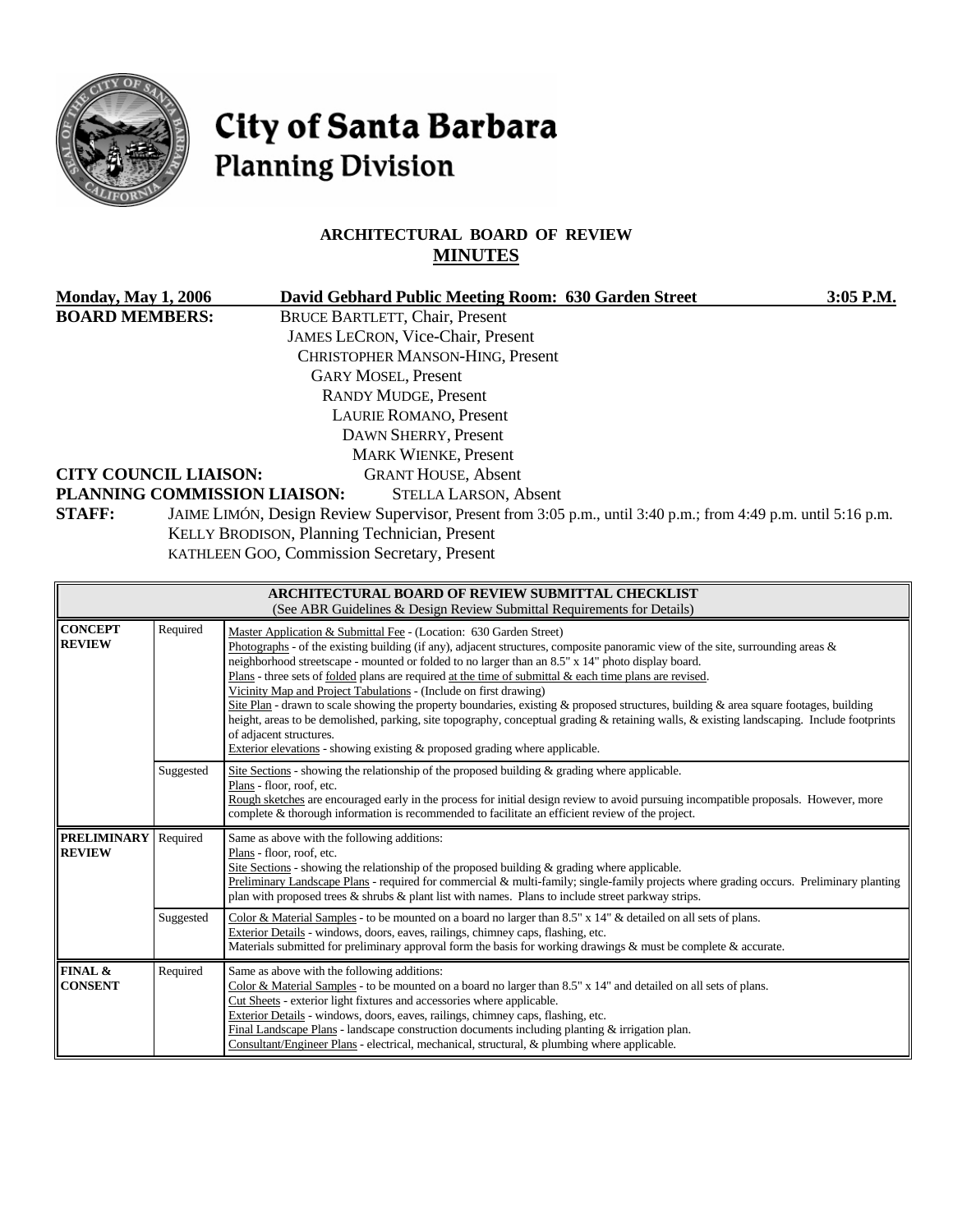

# City of Santa Barbara **Planning Division**

# **ARCHITECTURAL BOARD OF REVIEW MINUTES**

| <b>Monday, May 1, 2006</b>                                             |           | David Gebhard Public Meeting Room: 630 Garden Street                                                                                                                                                                                                                                                                                                                                                                                                                                                                                                                                                                                                                                                                                                                                                                                                                                              | 3:05 P.M. |  |  |
|------------------------------------------------------------------------|-----------|---------------------------------------------------------------------------------------------------------------------------------------------------------------------------------------------------------------------------------------------------------------------------------------------------------------------------------------------------------------------------------------------------------------------------------------------------------------------------------------------------------------------------------------------------------------------------------------------------------------------------------------------------------------------------------------------------------------------------------------------------------------------------------------------------------------------------------------------------------------------------------------------------|-----------|--|--|
| <b>BOARD MEMBERS:</b><br><b>CITY COUNCIL LIAISON:</b><br><b>STAFF:</b> |           | <b>BRUCE BARTLETT, Chair, Present</b><br>JAMES LECRON, Vice-Chair, Present<br>CHRISTOPHER MANSON-HING, Present<br><b>GARY MOSEL, Present</b><br><b>RANDY MUDGE, Present</b><br>LAURIE ROMANO, Present<br>DAWN SHERRY, Present<br><b>MARK WIENKE, Present</b><br><b>GRANT HOUSE, Absent</b><br>PLANNING COMMISSION LIAISON:<br><b>STELLA LARSON, Absent</b><br>JAIME LIMÓN, Design Review Supervisor, Present from 3:05 p.m., until 3:40 p.m.; from 4:49 p.m. until 5:16 p.m.<br>KELLY BRODISON, Planning Technician, Present<br>KATHLEEN GOO, Commission Secretary, Present                                                                                                                                                                                                                                                                                                                       |           |  |  |
|                                                                        |           | ARCHITECTURAL BOARD OF REVIEW SUBMITTAL CHECKLIST<br>(See ABR Guidelines & Design Review Submittal Requirements for Details)                                                                                                                                                                                                                                                                                                                                                                                                                                                                                                                                                                                                                                                                                                                                                                      |           |  |  |
| <b>CONCEPT</b><br><b>REVIEW</b>                                        | Required  | Master Application & Submittal Fee - (Location: 630 Garden Street)<br>Photographs - of the existing building (if any), adjacent structures, composite panoramic view of the site, surrounding areas $\&$<br>neighborhood streetscape - mounted or folded to no larger than an 8.5" x 14" photo display board.<br>Plans - three sets of folded plans are required at the time of submittal $\&$ each time plans are revised.<br>Vicinity Map and Project Tabulations - (Include on first drawing)<br>Site Plan - drawn to scale showing the property boundaries, existing & proposed structures, building & area square footages, building<br>height, areas to be demolished, parking, site topography, conceptual grading & retaining walls, & existing landscaping. Include footprints<br>of adjacent structures.<br>Exterior elevations - showing existing & proposed grading where applicable. |           |  |  |
|                                                                        | Suggested | Site Sections - showing the relationship of the proposed building & grading where applicable.<br>Plans - floor, roof, etc.<br>Rough sketches are encouraged early in the process for initial design review to avoid pursuing incompatible proposals. However, more<br>complete & thorough information is recommended to facilitate an efficient review of the project.                                                                                                                                                                                                                                                                                                                                                                                                                                                                                                                            |           |  |  |
| <b>PRELIMINARY</b><br><b>REVIEW</b>                                    | Required  | Same as above with the following additions:<br>Plans - floor, roof, etc.<br>Site Sections - showing the relationship of the proposed building $\&$ grading where applicable.<br>Preliminary Landscape Plans - required for commercial & multi-family; single-family projects where grading occurs. Preliminary planting<br>plan with proposed trees & shrubs & plant list with names. Plans to include street parkway strips.                                                                                                                                                                                                                                                                                                                                                                                                                                                                     |           |  |  |
|                                                                        | Suggested | Color & Material Samples - to be mounted on a board no larger than 8.5" x 14" & detailed on all sets of plans.<br>Exterior Details - windows, doors, eaves, railings, chimney caps, flashing, etc.<br>Materials submitted for preliminary approval form the basis for working drawings & must be complete & accurate.                                                                                                                                                                                                                                                                                                                                                                                                                                                                                                                                                                             |           |  |  |
| FINAL &<br><b>CONSENT</b>                                              | Required  | Same as above with the following additions:<br>Color & Material Samples - to be mounted on a board no larger than 8.5" x 14" and detailed on all sets of plans.<br>Cut Sheets - exterior light fixtures and accessories where applicable.<br>Exterior Details - windows, doors, eaves, railings, chimney caps, flashing, etc.                                                                                                                                                                                                                                                                                                                                                                                                                                                                                                                                                                     |           |  |  |

Final Landscape Plans - landscape construction documents including planting & irrigation plan. Consultant/Engineer Plans - electrical, mechanical, structural, & plumbing where applicable.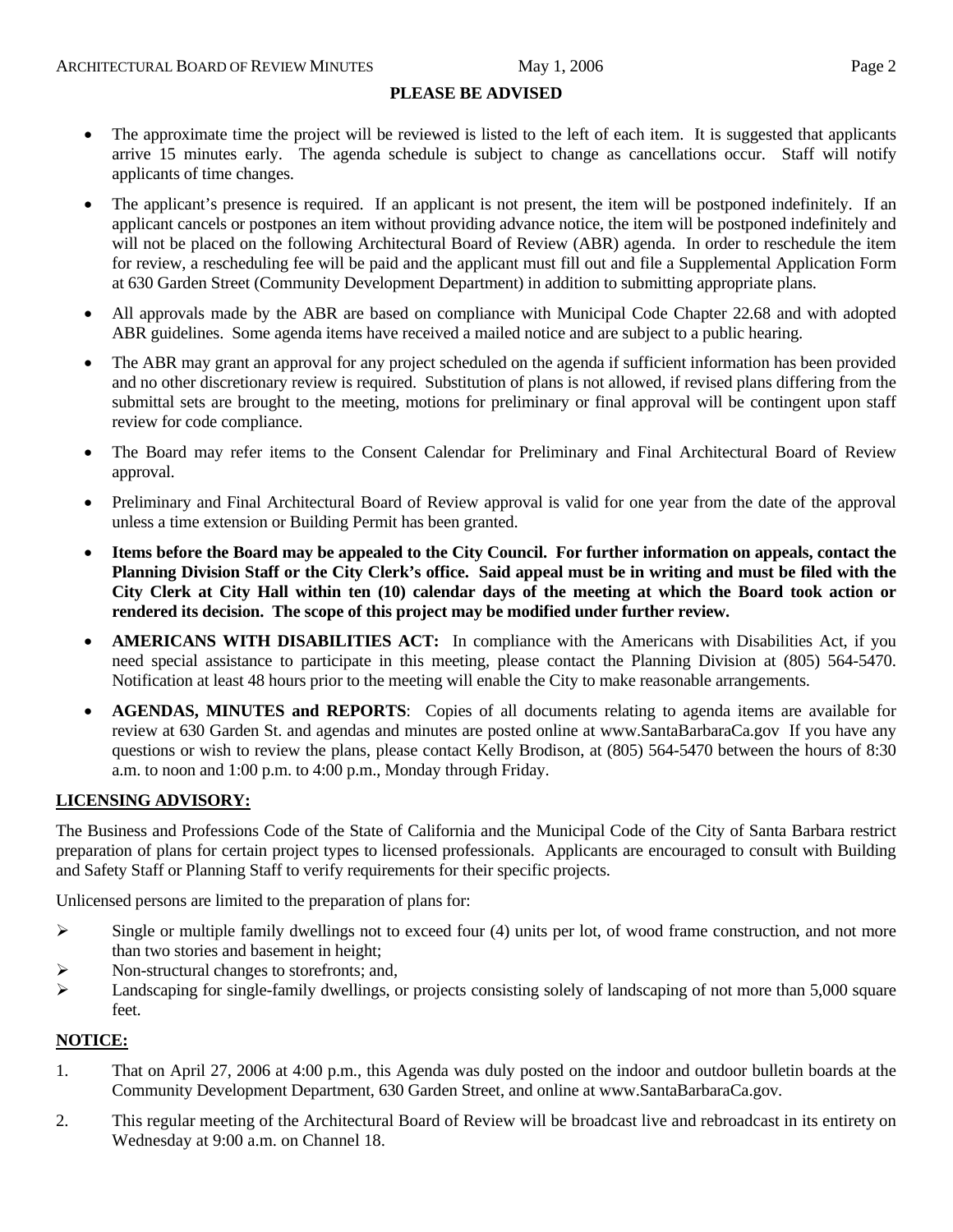#### **PLEASE BE ADVISED**

- The approximate time the project will be reviewed is listed to the left of each item. It is suggested that applicants arrive 15 minutes early. The agenda schedule is subject to change as cancellations occur. Staff will notify applicants of time changes.
- The applicant's presence is required. If an applicant is not present, the item will be postponed indefinitely. If an applicant cancels or postpones an item without providing advance notice, the item will be postponed indefinitely and will not be placed on the following Architectural Board of Review (ABR) agenda. In order to reschedule the item for review, a rescheduling fee will be paid and the applicant must fill out and file a Supplemental Application Form at 630 Garden Street (Community Development Department) in addition to submitting appropriate plans.
- All approvals made by the ABR are based on compliance with Municipal Code Chapter 22.68 and with adopted ABR guidelines. Some agenda items have received a mailed notice and are subject to a public hearing.
- The ABR may grant an approval for any project scheduled on the agenda if sufficient information has been provided and no other discretionary review is required. Substitution of plans is not allowed, if revised plans differing from the submittal sets are brought to the meeting, motions for preliminary or final approval will be contingent upon staff review for code compliance.
- The Board may refer items to the Consent Calendar for Preliminary and Final Architectural Board of Review approval.
- Preliminary and Final Architectural Board of Review approval is valid for one year from the date of the approval unless a time extension or Building Permit has been granted.
- **Items before the Board may be appealed to the City Council. For further information on appeals, contact the Planning Division Staff or the City Clerk's office. Said appeal must be in writing and must be filed with the City Clerk at City Hall within ten (10) calendar days of the meeting at which the Board took action or rendered its decision. The scope of this project may be modified under further review.**
- **AMERICANS WITH DISABILITIES ACT:** In compliance with the Americans with Disabilities Act, if you need special assistance to participate in this meeting, please contact the Planning Division at (805) 564-5470. Notification at least 48 hours prior to the meeting will enable the City to make reasonable arrangements.
- **AGENDAS, MINUTES and REPORTS**: Copies of all documents relating to agenda items are available for review at 630 Garden St. and agendas and minutes are posted online at [www.SantaBarbaraCa.gov](http://www.santabarbaraca.gov/) If you have any questions or wish to review the plans, please contact Kelly Brodison, at (805) 564-5470 between the hours of 8:30 a.m. to noon and 1:00 p.m. to 4:00 p.m., Monday through Friday.

### **LICENSING ADVISORY:**

The Business and Professions Code of the State of California and the Municipal Code of the City of Santa Barbara restrict preparation of plans for certain project types to licensed professionals. Applicants are encouraged to consult with Building and Safety Staff or Planning Staff to verify requirements for their specific projects.

Unlicensed persons are limited to the preparation of plans for:

- $\triangleright$  Single or multiple family dwellings not to exceed four (4) units per lot, of wood frame construction, and not more than two stories and basement in height;
- ¾ Non-structural changes to storefronts; and,
- ¾ Landscaping for single-family dwellings, or projects consisting solely of landscaping of not more than 5,000 square feet.

### **NOTICE:**

- 1. That on April 27, 2006 at 4:00 p.m., this Agenda was duly posted on the indoor and outdoor bulletin boards at the Community Development Department, 630 Garden Street, and online at www.SantaBarbaraCa.gov.
- 2. This regular meeting of the Architectural Board of Review will be broadcast live and rebroadcast in its entirety on Wednesday at 9:00 a.m. on Channel 18.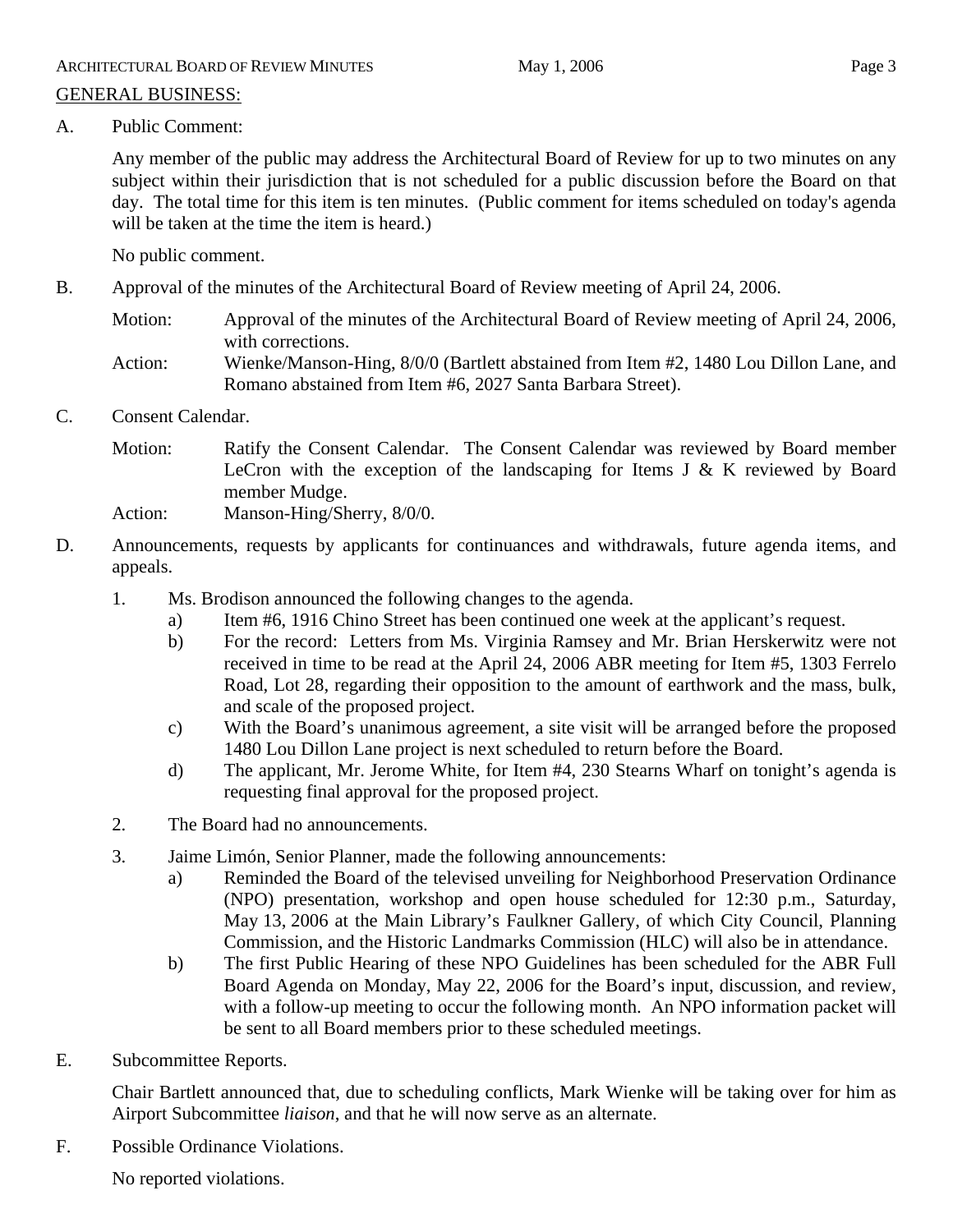Any member of the public may address the Architectural Board of Review for up to two minutes on any subject within their jurisdiction that is not scheduled for a public discussion before the Board on that day. The total time for this item is ten minutes. (Public comment for items scheduled on today's agenda will be taken at the time the item is heard.)

No public comment.

- B. Approval of the minutes of the Architectural Board of Review meeting of April 24, 2006.
	- Motion: Approval of the minutes of the Architectural Board of Review meeting of April 24, 2006, with corrections.
	- Action: Wienke/Manson-Hing, 8/0/0 (Bartlett abstained from Item #2, 1480 Lou Dillon Lane, and Romano abstained from Item #6, 2027 Santa Barbara Street).
- C. Consent Calendar.
	- Motion: Ratify the Consent Calendar. The Consent Calendar was reviewed by Board member LeCron with the exception of the landscaping for Items J  $\&$  K reviewed by Board member Mudge.

Action: Manson-Hing/Sherry, 8/0/0.

- D. Announcements, requests by applicants for continuances and withdrawals, future agenda items, and appeals.
	- 1. Ms. Brodison announced the following changes to the agenda.
		- a) Item #6, 1916 Chino Street has been continued one week at the applicant's request.
		- b) For the record: Letters from Ms. Virginia Ramsey and Mr. Brian Herskerwitz were not received in time to be read at the April 24, 2006 ABR meeting for Item #5, 1303 Ferrelo Road, Lot 28, regarding their opposition to the amount of earthwork and the mass, bulk, and scale of the proposed project.
		- c) With the Board's unanimous agreement, a site visit will be arranged before the proposed 1480 Lou Dillon Lane project is next scheduled to return before the Board.
		- d) The applicant, Mr. Jerome White, for Item #4, 230 Stearns Wharf on tonight's agenda is requesting final approval for the proposed project.
	- 2. The Board had no announcements.
	- 3. Jaime Limón, Senior Planner, made the following announcements:
		- a) Reminded the Board of the televised unveiling for Neighborhood Preservation Ordinance (NPO) presentation, workshop and open house scheduled for 12:30 p.m., Saturday, May 13, 2006 at the Main Library's Faulkner Gallery, of which City Council, Planning Commission, and the Historic Landmarks Commission (HLC) will also be in attendance.
		- b) The first Public Hearing of these NPO Guidelines has been scheduled for the ABR Full Board Agenda on Monday, May 22, 2006 for the Board's input, discussion, and review, with a follow-up meeting to occur the following month. An NPO information packet will be sent to all Board members prior to these scheduled meetings.
- E. Subcommittee Reports.

Chair Bartlett announced that, due to scheduling conflicts, Mark Wienke will be taking over for him as Airport Subcommittee *liaison*, and that he will now serve as an alternate.

F. Possible Ordinance Violations.

No reported violations.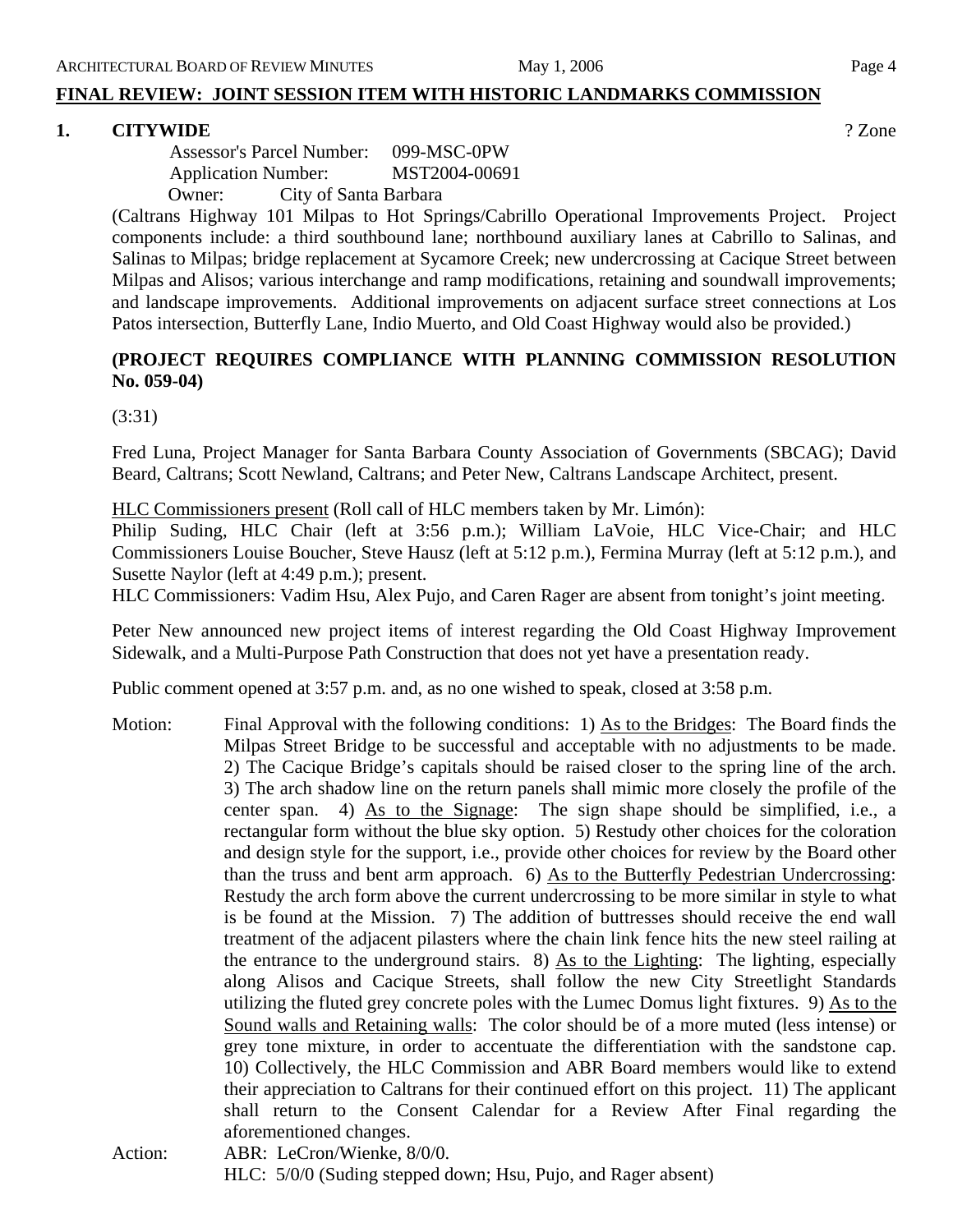### **FINAL REVIEW: JOINT SESSION ITEM WITH HISTORIC LANDMARKS COMMISSION**

### **1. CITYWIDE** ? Zone

 Assessor's Parcel Number: 099-MSC-0PW Application Number: MST2004-00691 Owner: City of Santa Barbara

(Caltrans Highway 101 Milpas to Hot Springs/Cabrillo Operational Improvements Project. Project components include: a third southbound lane; northbound auxiliary lanes at Cabrillo to Salinas, and Salinas to Milpas; bridge replacement at Sycamore Creek; new undercrossing at Cacique Street between Milpas and Alisos; various interchange and ramp modifications, retaining and soundwall improvements; and landscape improvements. Additional improvements on adjacent surface street connections at Los Patos intersection, Butterfly Lane, Indio Muerto, and Old Coast Highway would also be provided.)

# **(PROJECT REQUIRES COMPLIANCE WITH PLANNING COMMISSION RESOLUTION No. 059-04)**

(3:31)

Fred Luna, Project Manager for Santa Barbara County Association of Governments (SBCAG); David Beard, Caltrans; Scott Newland, Caltrans; and Peter New, Caltrans Landscape Architect, present.

HLC Commissioners present (Roll call of HLC members taken by Mr. Limón):

Philip Suding, HLC Chair (left at 3:56 p.m.); William LaVoie, HLC Vice-Chair; and HLC Commissioners Louise Boucher, Steve Hausz (left at 5:12 p.m.), Fermina Murray (left at 5:12 p.m.), and Susette Naylor (left at 4:49 p.m.); present.

HLC Commissioners: Vadim Hsu, Alex Pujo, and Caren Rager are absent from tonight's joint meeting.

Peter New announced new project items of interest regarding the Old Coast Highway Improvement Sidewalk, and a Multi-Purpose Path Construction that does not yet have a presentation ready.

Public comment opened at 3:57 p.m. and, as no one wished to speak, closed at 3:58 p.m.

- Motion: Final Approval with the following conditions: 1) As to the Bridges: The Board finds the Milpas Street Bridge to be successful and acceptable with no adjustments to be made. 2) The Cacique Bridge's capitals should be raised closer to the spring line of the arch. 3) The arch shadow line on the return panels shall mimic more closely the profile of the center span. 4) As to the Signage: The sign shape should be simplified, i.e., a rectangular form without the blue sky option. 5) Restudy other choices for the coloration and design style for the support, i.e., provide other choices for review by the Board other than the truss and bent arm approach. 6) As to the Butterfly Pedestrian Undercrossing: Restudy the arch form above the current undercrossing to be more similar in style to what is be found at the Mission. 7) The addition of buttresses should receive the end wall treatment of the adjacent pilasters where the chain link fence hits the new steel railing at the entrance to the underground stairs. 8) As to the Lighting: The lighting, especially along Alisos and Cacique Streets, shall follow the new City Streetlight Standards utilizing the fluted grey concrete poles with the Lumec Domus light fixtures. 9) As to the Sound walls and Retaining walls: The color should be of a more muted (less intense) or grey tone mixture, in order to accentuate the differentiation with the sandstone cap. 10) Collectively, the HLC Commission and ABR Board members would like to extend their appreciation to Caltrans for their continued effort on this project. 11) The applicant shall return to the Consent Calendar for a Review After Final regarding the aforementioned changes. Action: ABR: LeCron/Wienke, 8/0/0.
- HLC: 5/0/0 (Suding stepped down; Hsu, Pujo, and Rager absent)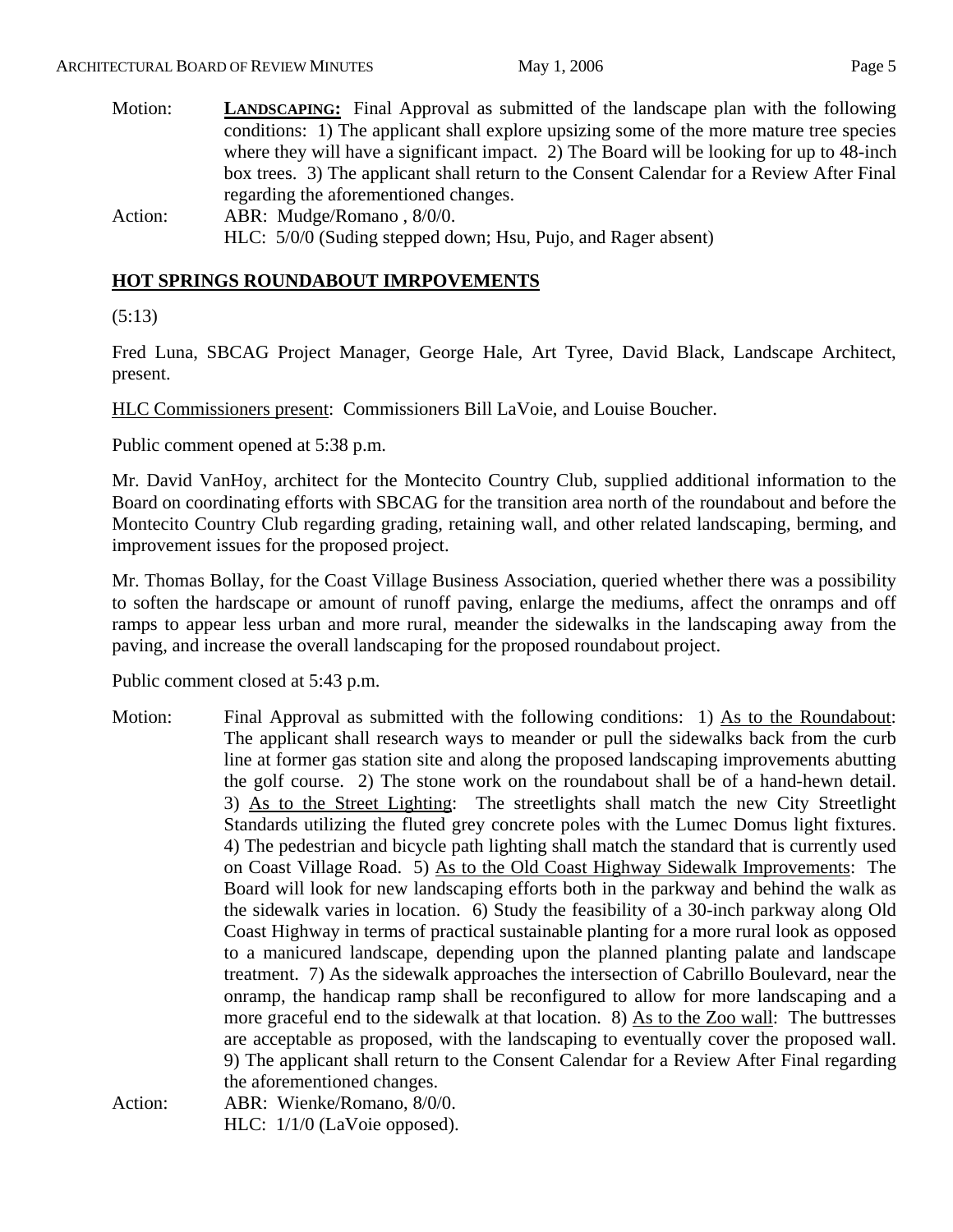| Motion: | <b>LANDSCAPING:</b> Final Approval as submitted of the landscape plan with the following  |  |  |  |
|---------|-------------------------------------------------------------------------------------------|--|--|--|
|         | conditions: 1) The applicant shall explore upsizing some of the more mature tree species  |  |  |  |
|         | where they will have a significant impact. 2) The Board will be looking for up to 48-inch |  |  |  |
|         | box trees. 3) The applicant shall return to the Consent Calendar for a Review After Final |  |  |  |
|         | regarding the aforementioned changes.                                                     |  |  |  |
| Action: | ABR: Mudge/Romano, 8/0/0.                                                                 |  |  |  |
|         | HLC: 5/0/0 (Suding stepped down; Hsu, Pujo, and Rager absent)                             |  |  |  |

# **HOT SPRINGS ROUNDABOUT IMRPOVEMENTS**

(5:13)

Fred Luna, SBCAG Project Manager, George Hale, Art Tyree, David Black, Landscape Architect, present.

HLC Commissioners present: Commissioners Bill LaVoie, and Louise Boucher.

Public comment opened at 5:38 p.m.

Mr. David VanHoy, architect for the Montecito Country Club, supplied additional information to the Board on coordinating efforts with SBCAG for the transition area north of the roundabout and before the Montecito Country Club regarding grading, retaining wall, and other related landscaping, berming, and improvement issues for the proposed project.

Mr. Thomas Bollay, for the Coast Village Business Association, queried whether there was a possibility to soften the hardscape or amount of runoff paving, enlarge the mediums, affect the onramps and off ramps to appear less urban and more rural, meander the sidewalks in the landscaping away from the paving, and increase the overall landscaping for the proposed roundabout project.

Public comment closed at 5:43 p.m.

- Motion: Final Approval as submitted with the following conditions: 1) As to the Roundabout: The applicant shall research ways to meander or pull the sidewalks back from the curb line at former gas station site and along the proposed landscaping improvements abutting the golf course. 2) The stone work on the roundabout shall be of a hand-hewn detail. 3) As to the Street Lighting: The streetlights shall match the new City Streetlight Standards utilizing the fluted grey concrete poles with the Lumec Domus light fixtures. 4) The pedestrian and bicycle path lighting shall match the standard that is currently used on Coast Village Road. 5) As to the Old Coast Highway Sidewalk Improvements: The Board will look for new landscaping efforts both in the parkway and behind the walk as the sidewalk varies in location. 6) Study the feasibility of a 30-inch parkway along Old Coast Highway in terms of practical sustainable planting for a more rural look as opposed to a manicured landscape, depending upon the planned planting palate and landscape treatment. 7) As the sidewalk approaches the intersection of Cabrillo Boulevard, near the onramp, the handicap ramp shall be reconfigured to allow for more landscaping and a more graceful end to the sidewalk at that location. 8) As to the Zoo wall: The buttresses are acceptable as proposed, with the landscaping to eventually cover the proposed wall. 9) The applicant shall return to the Consent Calendar for a Review After Final regarding the aforementioned changes.
- Action: ABR: Wienke/Romano, 8/0/0. HLC: 1/1/0 (LaVoie opposed).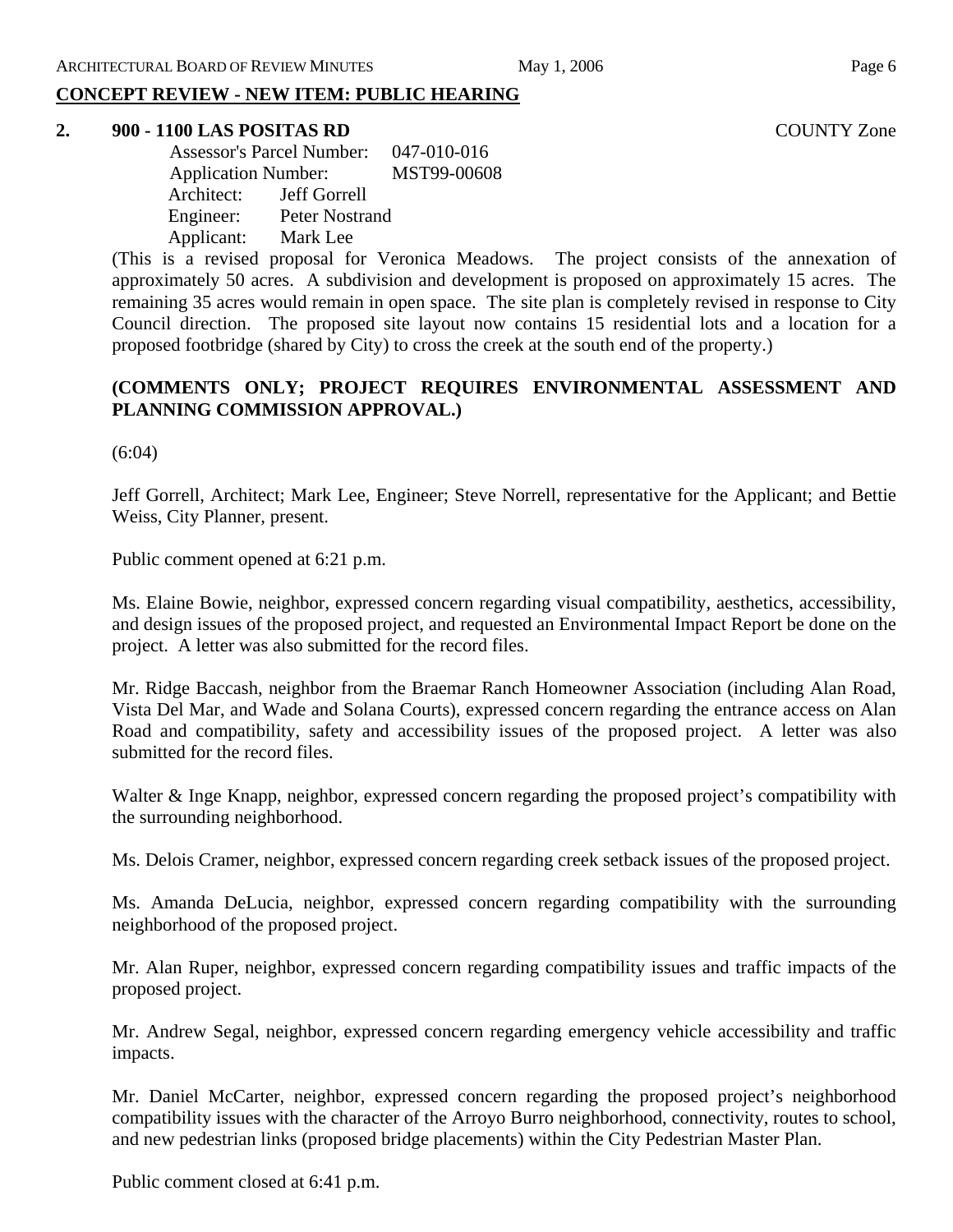# **CONCEPT REVIEW - NEW ITEM: PUBLIC HEARING**

#### **2. 900 - 1100 LAS POSITAS RD** COUNTY Zone

 Assessor's Parcel Number: 047-010-016 Application Number: MST99-00608 Architect: Jeff Gorrell Engineer: Peter Nostrand Applicant: Mark Lee

(This is a revised proposal for Veronica Meadows. The project consists of the annexation of approximately 50 acres. A subdivision and development is proposed on approximately 15 acres. The remaining 35 acres would remain in open space. The site plan is completely revised in response to City Council direction. The proposed site layout now contains 15 residential lots and a location for a proposed footbridge (shared by City) to cross the creek at the south end of the property.)

# **(COMMENTS ONLY; PROJECT REQUIRES ENVIRONMENTAL ASSESSMENT AND PLANNING COMMISSION APPROVAL.)**

(6:04)

Jeff Gorrell, Architect; Mark Lee, Engineer; Steve Norrell, representative for the Applicant; and Bettie Weiss, City Planner, present.

Public comment opened at 6:21 p.m.

Ms. Elaine Bowie, neighbor, expressed concern regarding visual compatibility, aesthetics, accessibility, and design issues of the proposed project, and requested an Environmental Impact Report be done on the project. A letter was also submitted for the record files.

Mr. Ridge Baccash, neighbor from the Braemar Ranch Homeowner Association (including Alan Road, Vista Del Mar, and Wade and Solana Courts), expressed concern regarding the entrance access on Alan Road and compatibility, safety and accessibility issues of the proposed project. A letter was also submitted for the record files.

Walter & Inge Knapp, neighbor, expressed concern regarding the proposed project's compatibility with the surrounding neighborhood.

Ms. Delois Cramer, neighbor, expressed concern regarding creek setback issues of the proposed project.

Ms. Amanda DeLucia, neighbor, expressed concern regarding compatibility with the surrounding neighborhood of the proposed project.

Mr. Alan Ruper, neighbor, expressed concern regarding compatibility issues and traffic impacts of the proposed project.

Mr. Andrew Segal, neighbor, expressed concern regarding emergency vehicle accessibility and traffic impacts.

Mr. Daniel McCarter, neighbor, expressed concern regarding the proposed project's neighborhood compatibility issues with the character of the Arroyo Burro neighborhood, connectivity, routes to school, and new pedestrian links (proposed bridge placements) within the City Pedestrian Master Plan.

Public comment closed at 6:41 p.m.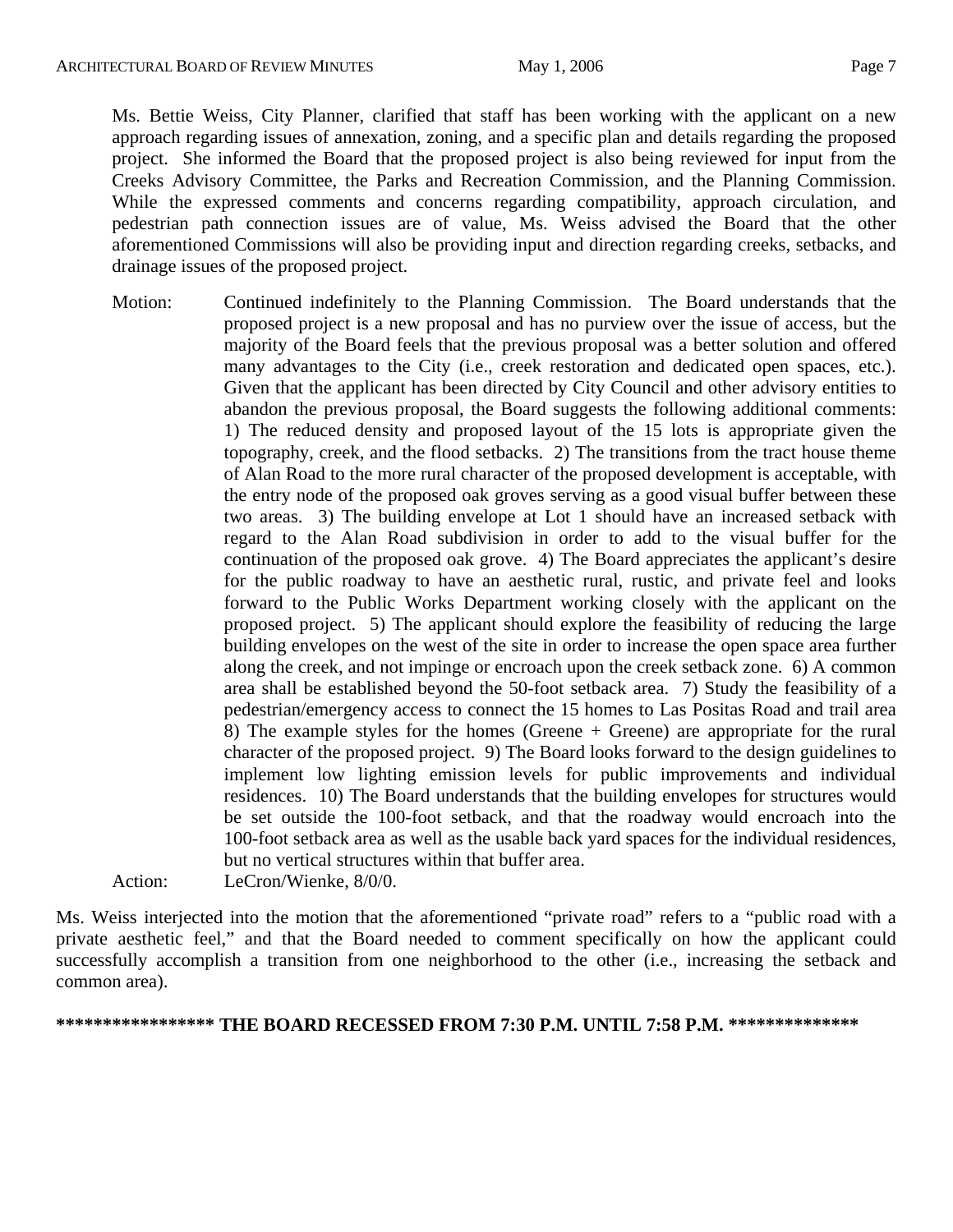Ms. Bettie Weiss, City Planner, clarified that staff has been working with the applicant on a new approach regarding issues of annexation, zoning, and a specific plan and details regarding the proposed project. She informed the Board that the proposed project is also being reviewed for input from the Creeks Advisory Committee, the Parks and Recreation Commission, and the Planning Commission. While the expressed comments and concerns regarding compatibility, approach circulation, and pedestrian path connection issues are of value, Ms. Weiss advised the Board that the other aforementioned Commissions will also be providing input and direction regarding creeks, setbacks, and drainage issues of the proposed project.

Motion: Continued indefinitely to the Planning Commission. The Board understands that the proposed project is a new proposal and has no purview over the issue of access, but the majority of the Board feels that the previous proposal was a better solution and offered many advantages to the City (i.e., creek restoration and dedicated open spaces, etc.). Given that the applicant has been directed by City Council and other advisory entities to abandon the previous proposal, the Board suggests the following additional comments: 1) The reduced density and proposed layout of the 15 lots is appropriate given the topography, creek, and the flood setbacks. 2) The transitions from the tract house theme of Alan Road to the more rural character of the proposed development is acceptable, with the entry node of the proposed oak groves serving as a good visual buffer between these two areas. 3) The building envelope at Lot 1 should have an increased setback with regard to the Alan Road subdivision in order to add to the visual buffer for the continuation of the proposed oak grove. 4) The Board appreciates the applicant's desire for the public roadway to have an aesthetic rural, rustic, and private feel and looks forward to the Public Works Department working closely with the applicant on the proposed project. 5) The applicant should explore the feasibility of reducing the large building envelopes on the west of the site in order to increase the open space area further along the creek, and not impinge or encroach upon the creek setback zone. 6) A common area shall be established beyond the 50-foot setback area. 7) Study the feasibility of a pedestrian/emergency access to connect the 15 homes to Las Positas Road and trail area 8) The example styles for the homes (Greene + Greene) are appropriate for the rural character of the proposed project. 9) The Board looks forward to the design guidelines to implement low lighting emission levels for public improvements and individual residences. 10) The Board understands that the building envelopes for structures would be set outside the 100-foot setback, and that the roadway would encroach into the 100-foot setback area as well as the usable back yard spaces for the individual residences, but no vertical structures within that buffer area.

Action: LeCron/Wienke, 8/0/0.

Ms. Weiss interjected into the motion that the aforementioned "private road" refers to a "public road with a private aesthetic feel," and that the Board needed to comment specifically on how the applicant could successfully accomplish a transition from one neighborhood to the other (i.e., increasing the setback and common area).

**\*\*\*\*\*\*\*\*\*\*\*\*\*\*\*\*\* THE BOARD RECESSED FROM 7:30 P.M. UNTIL 7:58 P.M. \*\*\*\*\*\*\*\*\*\*\*\*\*\***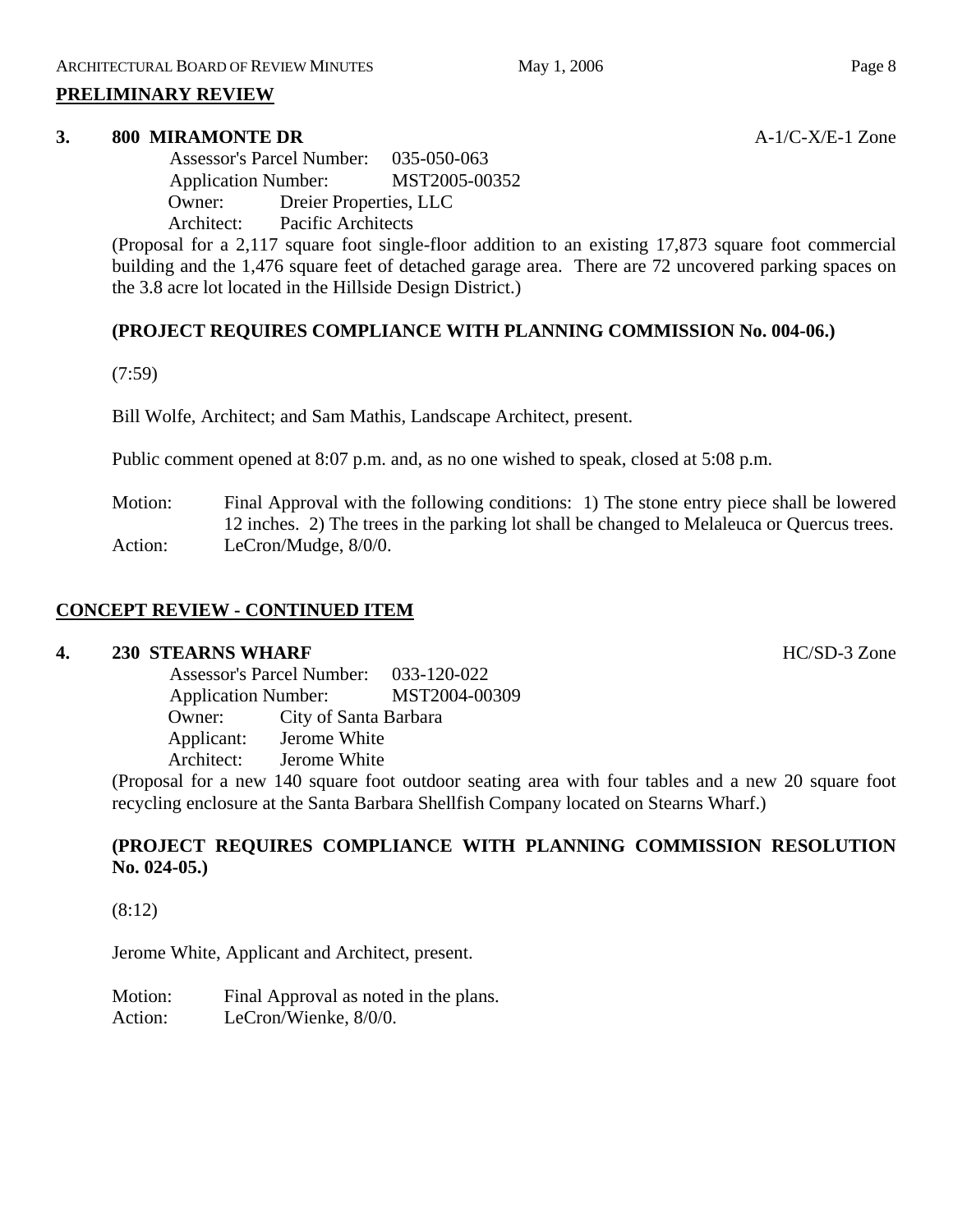#### **PRELIMINARY REVIEW**

#### **3. 800 MIRAMONTE DR** A-1/C-X/E-1 Zone

 Assessor's Parcel Number: 035-050-063 Application Number: MST2005-00352 Owner: Dreier Properties, LLC Architect: Pacific Architects

(Proposal for a 2,117 square foot single-floor addition to an existing 17,873 square foot commercial building and the 1,476 square feet of detached garage area. There are 72 uncovered parking spaces on the 3.8 acre lot located in the Hillside Design District.)

# **(PROJECT REQUIRES COMPLIANCE WITH PLANNING COMMISSION No. 004-06.)**

(7:59)

Bill Wolfe, Architect; and Sam Mathis, Landscape Architect, present.

Public comment opened at 8:07 p.m. and, as no one wished to speak, closed at 5:08 p.m.

Motion: Final Approval with the following conditions: 1) The stone entry piece shall be lowered 12 inches. 2) The trees in the parking lot shall be changed to Melaleuca or Quercus trees. Action: LeCron/Mudge,  $8/0/0$ .

# **CONCEPT REVIEW - CONTINUED ITEM**

#### **4. 230 STEARNS WHARF** HC/SD-3 Zone

 Assessor's Parcel Number: 033-120-022 Application Number: MST2004-00309 Owner: City of Santa Barbara Applicant: Jerome White Architect: Jerome White

(Proposal for a new 140 square foot outdoor seating area with four tables and a new 20 square foot recycling enclosure at the Santa Barbara Shellfish Company located on Stearns Wharf.)

# **(PROJECT REQUIRES COMPLIANCE WITH PLANNING COMMISSION RESOLUTION No. 024-05.)**

(8:12)

Jerome White, Applicant and Architect, present.

Motion: Final Approval as noted in the plans. Action: LeCron/Wienke, 8/0/0.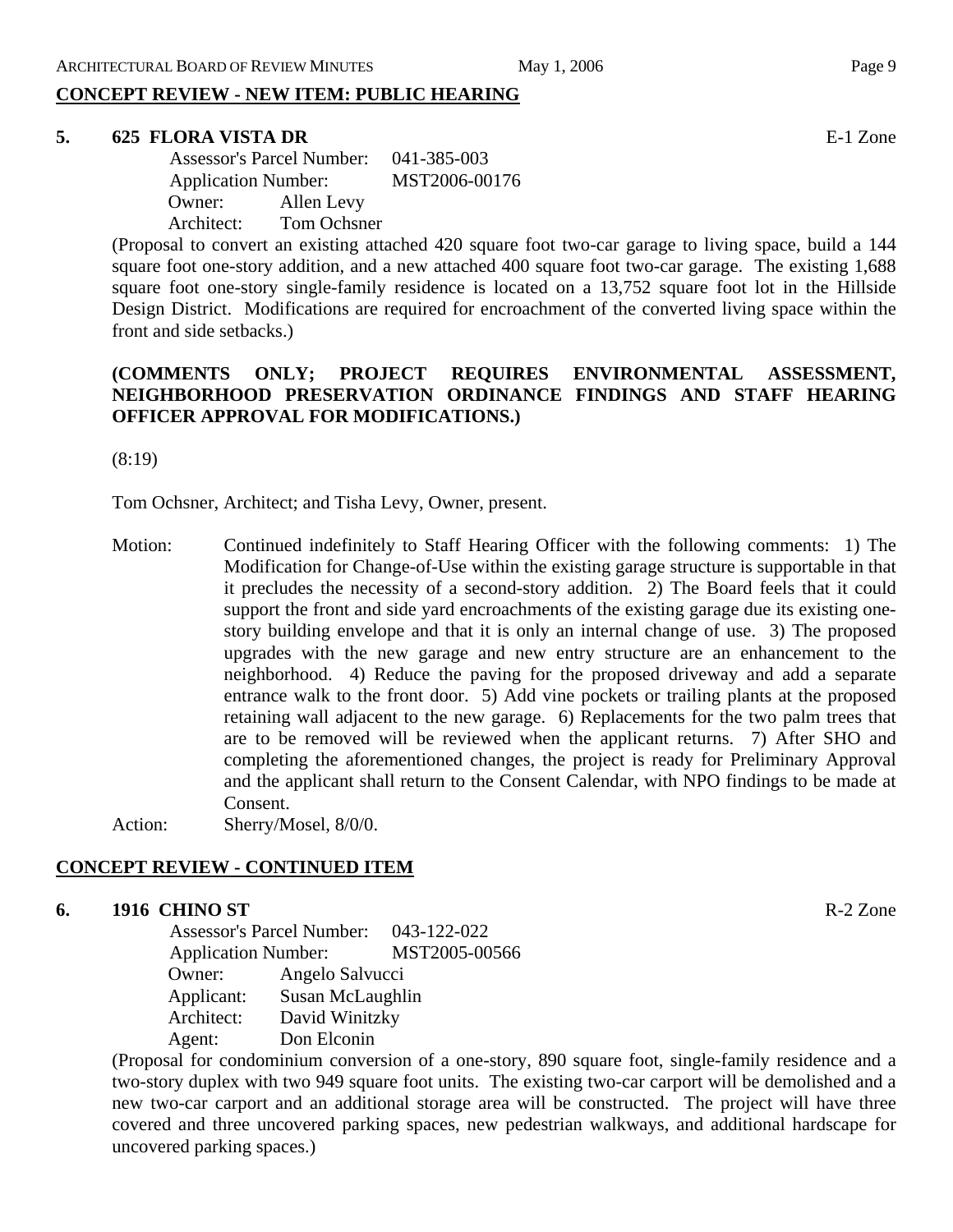# **CONCEPT REVIEW - NEW ITEM: PUBLIC HEARING**

#### **5. 625 FLORA VISTA DR** E-1 Zone

|            | <b>Assessor's Parcel Number:</b> |  |  |
|------------|----------------------------------|--|--|
|            | <b>Application Number:</b>       |  |  |
| Owner:     | Allen Levy                       |  |  |
| Architect: | Tom Ochsner                      |  |  |

(Proposal to convert an existing attached 420 square foot two-car garage to living space, build a 144 square foot one-story addition, and a new attached 400 square foot two-car garage. The existing 1,688 square foot one-story single-family residence is located on a 13,752 square foot lot in the Hillside Design District. Modifications are required for encroachment of the converted living space within the front and side setbacks.)

### **(COMMENTS ONLY; PROJECT REQUIRES ENVIRONMENTAL ASSESSMENT, NEIGHBORHOOD PRESERVATION ORDINANCE FINDINGS AND STAFF HEARING OFFICER APPROVAL FOR MODIFICATIONS.)**

(8:19)

Tom Ochsner, Architect; and Tisha Levy, Owner, present.

Motion: Continued indefinitely to Staff Hearing Officer with the following comments: 1) The Modification for Change-of-Use within the existing garage structure is supportable in that it precludes the necessity of a second-story addition. 2) The Board feels that it could support the front and side yard encroachments of the existing garage due its existing onestory building envelope and that it is only an internal change of use. 3) The proposed upgrades with the new garage and new entry structure are an enhancement to the neighborhood. 4) Reduce the paving for the proposed driveway and add a separate entrance walk to the front door. 5) Add vine pockets or trailing plants at the proposed retaining wall adjacent to the new garage. 6) Replacements for the two palm trees that are to be removed will be reviewed when the applicant returns. 7) After SHO and completing the aforementioned changes, the project is ready for Preliminary Approval and the applicant shall return to the Consent Calendar, with NPO findings to be made at Consent.

Action: Sherry/Mosel, 8/0/0.

# **CONCEPT REVIEW - CONTINUED ITEM**

#### **6. 1916 CHINO ST** R-2 Zone

 Assessor's Parcel Number: 043-122-022 Application Number: MST2005-00566 Owner: Angelo Salvucci Applicant: Susan McLaughlin Architect: David Winitzky Agent: Don Elconin

(Proposal for condominium conversion of a one-story, 890 square foot, single-family residence and a two-story duplex with two 949 square foot units. The existing two-car carport will be demolished and a new two-car carport and an additional storage area will be constructed. The project will have three covered and three uncovered parking spaces, new pedestrian walkways, and additional hardscape for uncovered parking spaces.)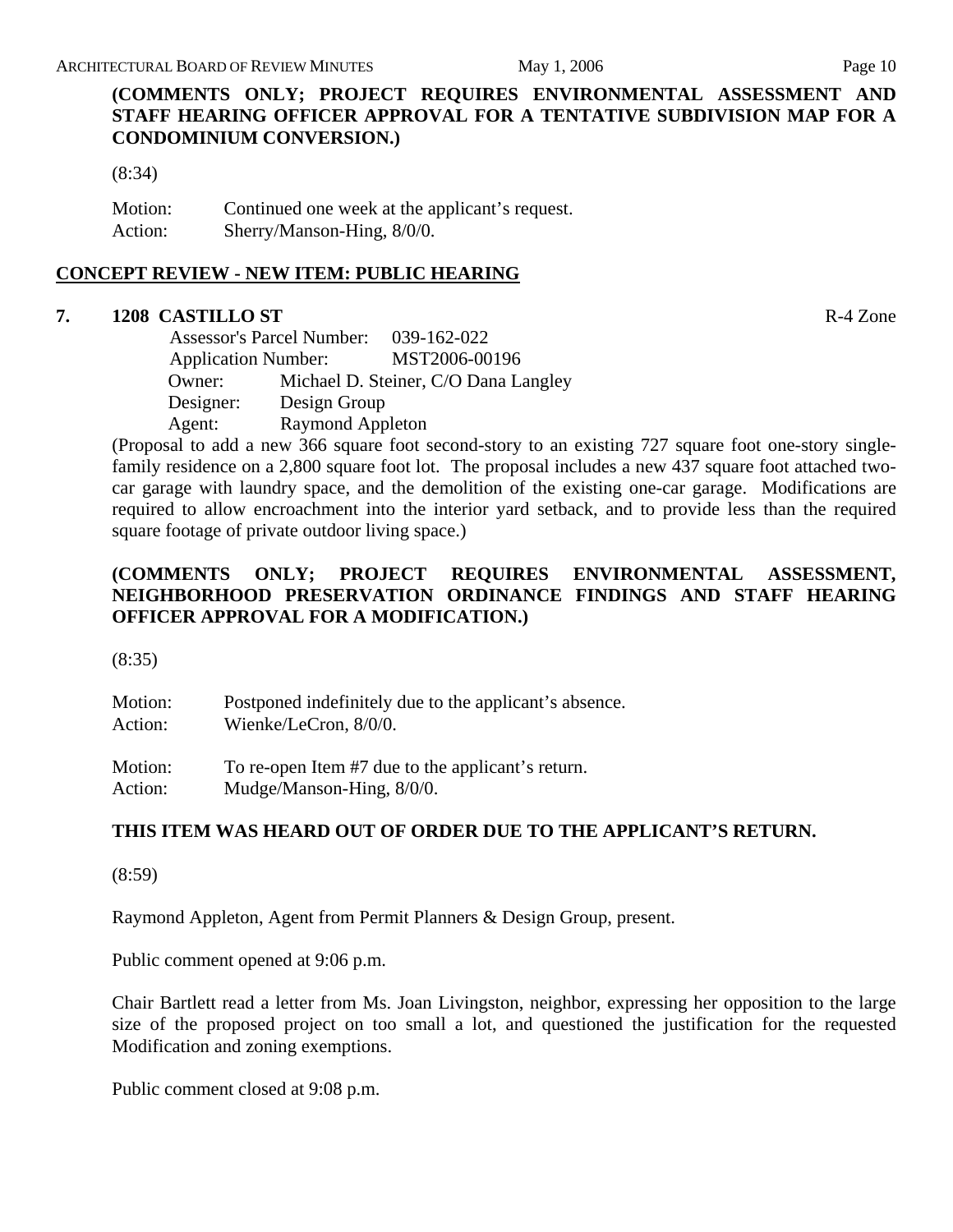**(COMMENTS ONLY; PROJECT REQUIRES ENVIRONMENTAL ASSESSMENT AND STAFF HEARING OFFICER APPROVAL FOR A TENTATIVE SUBDIVISION MAP FOR A CONDOMINIUM CONVERSION.)** 

(8:34)

Motion: Continued one week at the applicant's request. Action: Sherry/Manson-Hing, 8/0/0.

# **CONCEPT REVIEW - NEW ITEM: PUBLIC HEARING**

### **7. 1208 CASTILLO ST** R-4 Zone

 Assessor's Parcel Number: 039-162-022 Application Number: MST2006-00196 Owner: Michael D. Steiner, C/O Dana Langley Designer: Design Group Agent: Raymond Appleton

(Proposal to add a new 366 square foot second-story to an existing 727 square foot one-story singlefamily residence on a 2,800 square foot lot. The proposal includes a new 437 square foot attached twocar garage with laundry space, and the demolition of the existing one-car garage. Modifications are required to allow encroachment into the interior yard setback, and to provide less than the required square footage of private outdoor living space.)

# **(COMMENTS ONLY; PROJECT REQUIRES ENVIRONMENTAL ASSESSMENT, NEIGHBORHOOD PRESERVATION ORDINANCE FINDINGS AND STAFF HEARING OFFICER APPROVAL FOR A MODIFICATION.)**

(8:35)

Motion: Postponed indefinitely due to the applicant's absence. Action: Wienke/LeCron, 8/0/0. Motion: To re-open Item #7 due to the applicant's return. Action: Mudge/Manson-Hing,  $8/0/0$ .

# **THIS ITEM WAS HEARD OUT OF ORDER DUE TO THE APPLICANT'S RETURN.**

(8:59)

Raymond Appleton, Agent from Permit Planners & Design Group, present.

Public comment opened at 9:06 p.m.

Chair Bartlett read a letter from Ms. Joan Livingston, neighbor, expressing her opposition to the large size of the proposed project on too small a lot, and questioned the justification for the requested Modification and zoning exemptions.

Public comment closed at 9:08 p.m.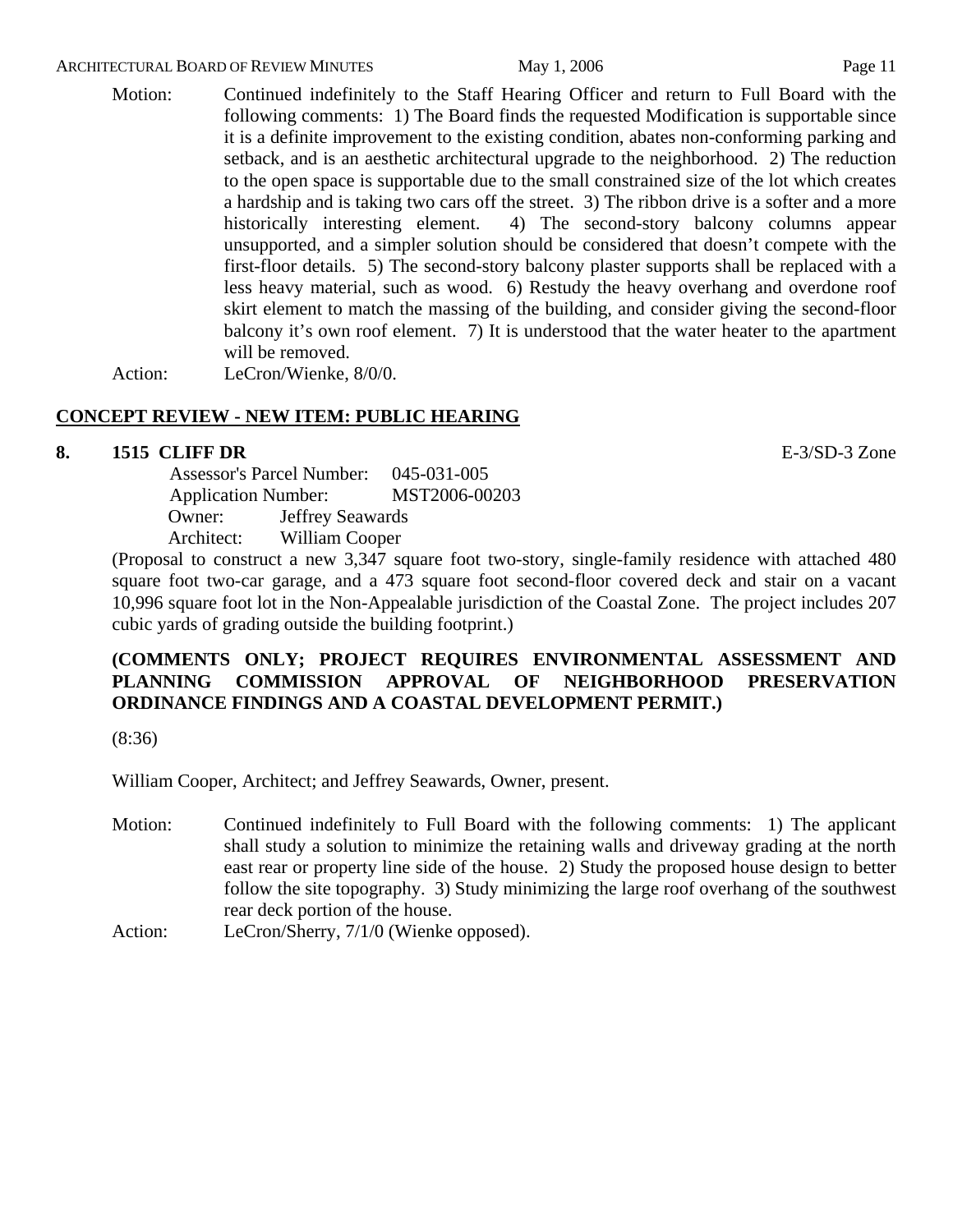#### ARCHITECTURAL BOARD OF REVIEW MINUTES May 1, 2006 May 1, 2006

Motion: Continued indefinitely to the Staff Hearing Officer and return to Full Board with the following comments: 1) The Board finds the requested Modification is supportable since it is a definite improvement to the existing condition, abates non-conforming parking and setback, and is an aesthetic architectural upgrade to the neighborhood. 2) The reduction to the open space is supportable due to the small constrained size of the lot which creates a hardship and is taking two cars off the street. 3) The ribbon drive is a softer and a more historically interesting element. 4) The second-story balcony columns appear unsupported, and a simpler solution should be considered that doesn't compete with the first-floor details. 5) The second-story balcony plaster supports shall be replaced with a less heavy material, such as wood. 6) Restudy the heavy overhang and overdone roof skirt element to match the massing of the building, and consider giving the second-floor balcony it's own roof element. 7) It is understood that the water heater to the apartment will be removed.

Action: LeCron/Wienke, 8/0/0.

# **CONCEPT REVIEW - NEW ITEM: PUBLIC HEARING**

#### **8. 1515 CLIFF DR** E-3/SD-3 Zone

 Assessor's Parcel Number: 045-031-005 Application Number: MST2006-00203 Owner: Jeffrey Seawards Architect: William Cooper

(Proposal to construct a new 3,347 square foot two-story, single-family residence with attached 480 square foot two-car garage, and a 473 square foot second-floor covered deck and stair on a vacant 10,996 square foot lot in the Non-Appealable jurisdiction of the Coastal Zone. The project includes 207 cubic yards of grading outside the building footprint.)

### **(COMMENTS ONLY; PROJECT REQUIRES ENVIRONMENTAL ASSESSMENT AND PLANNING COMMISSION APPROVAL OF NEIGHBORHOOD PRESERVATION ORDINANCE FINDINGS AND A COASTAL DEVELOPMENT PERMIT.)**

(8:36)

William Cooper, Architect; and Jeffrey Seawards, Owner, present.

- Motion: Continued indefinitely to Full Board with the following comments: 1) The applicant shall study a solution to minimize the retaining walls and driveway grading at the north east rear or property line side of the house. 2) Study the proposed house design to better follow the site topography. 3) Study minimizing the large roof overhang of the southwest rear deck portion of the house.
- Action: LeCron/Sherry, 7/1/0 (Wienke opposed).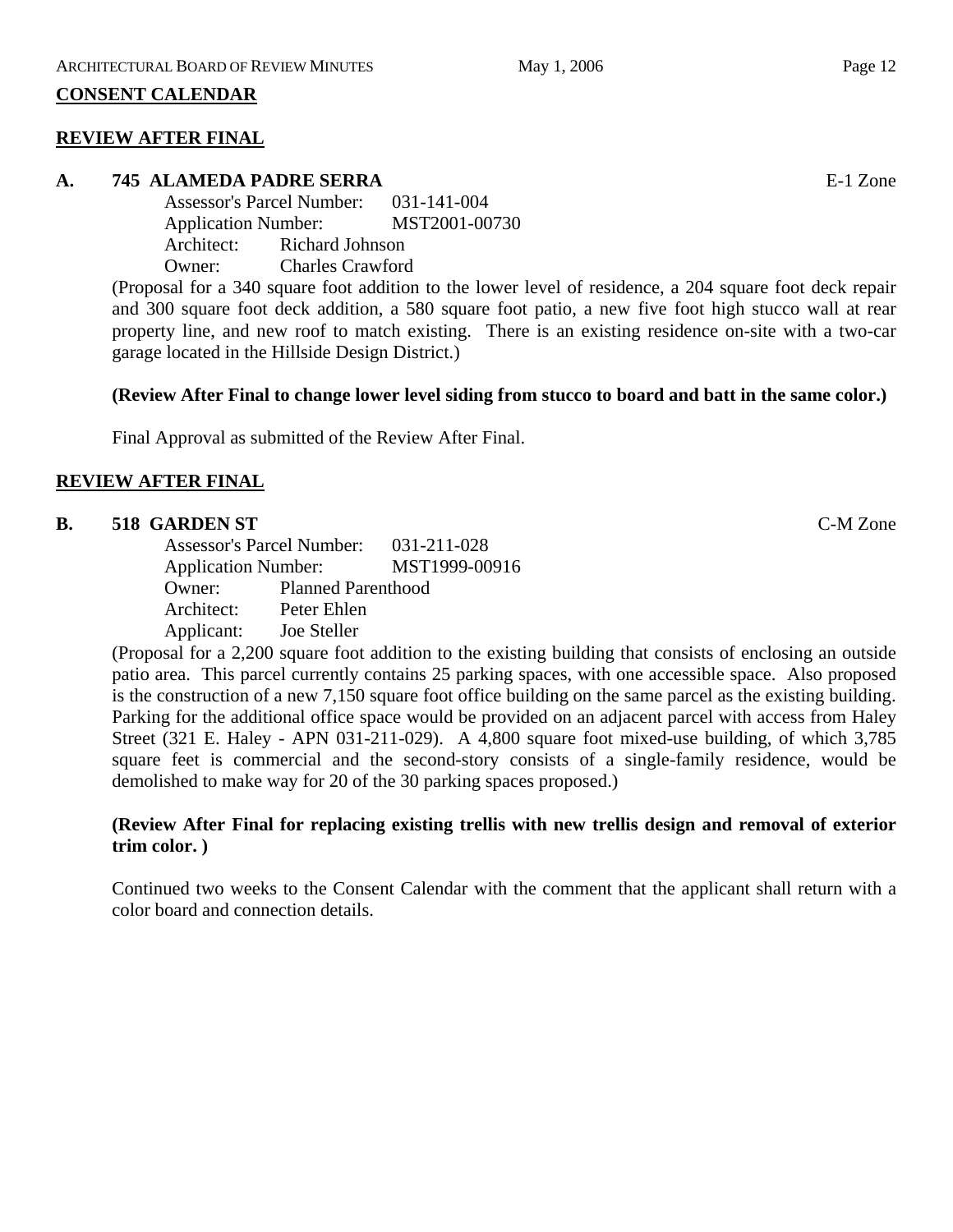### **CONSENT CALENDAR**

### **REVIEW AFTER FINAL**

# **A. 745 ALAMEDA PADRE SERRA** E-1 Zone

Assessor's Parcel Number: 031-141-004 Application Number: MST2001-00730 Architect: Richard Johnson Owner: Charles Crawford

(Proposal for a 340 square foot addition to the lower level of residence, a 204 square foot deck repair and 300 square foot deck addition, a 580 square foot patio, a new five foot high stucco wall at rear property line, and new roof to match existing. There is an existing residence on-site with a two-car garage located in the Hillside Design District.)

#### **(Review After Final to change lower level siding from stucco to board and batt in the same color.)**

Final Approval as submitted of the Review After Final.

### **REVIEW AFTER FINAL**

# **B. 518 GARDEN ST** C-M Zone

Assessor's Parcel Number: 031-211-028 Application Number: MST1999-00916 Owner: Planned Parenthood Architect: Peter Ehlen Applicant: Joe Steller

(Proposal for a 2,200 square foot addition to the existing building that consists of enclosing an outside patio area. This parcel currently contains 25 parking spaces, with one accessible space. Also proposed is the construction of a new 7,150 square foot office building on the same parcel as the existing building. Parking for the additional office space would be provided on an adjacent parcel with access from Haley Street (321 E. Haley - APN 031-211-029). A 4,800 square foot mixed-use building, of which 3,785 square feet is commercial and the second-story consists of a single-family residence, would be demolished to make way for 20 of the 30 parking spaces proposed.)

### **(Review After Final for replacing existing trellis with new trellis design and removal of exterior trim color. )**

Continued two weeks to the Consent Calendar with the comment that the applicant shall return with a color board and connection details.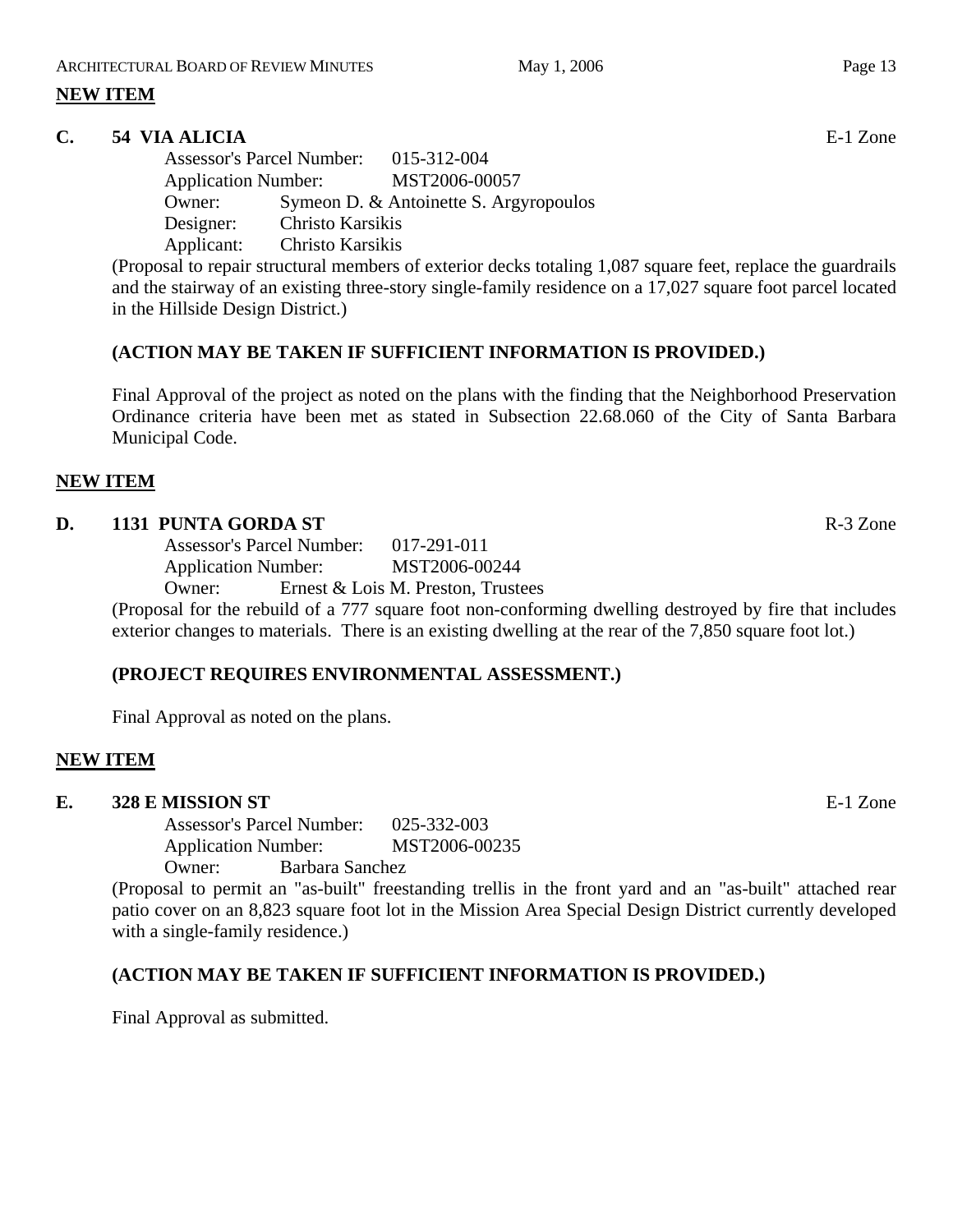# **NEW ITEM**

# **C. 54 VIA ALICIA** E-1 Zone

Assessor's Parcel Number: 015-312-004 Application Number: MST2006-00057 Owner: Symeon D. & Antoinette S. Argyropoulos Designer: Christo Karsikis Applicant: Christo Karsikis

(Proposal to repair structural members of exterior decks totaling 1,087 square feet, replace the guardrails and the stairway of an existing three-story single-family residence on a 17,027 square foot parcel located in the Hillside Design District.)

# **(ACTION MAY BE TAKEN IF SUFFICIENT INFORMATION IS PROVIDED.)**

Final Approval of the project as noted on the plans with the finding that the Neighborhood Preservation Ordinance criteria have been met as stated in Subsection 22.68.060 of the City of Santa Barbara Municipal Code.

### **NEW ITEM**

### **D. 1131 PUNTA GORDA ST** R-3 Zone

Assessor's Parcel Number: 017-291-011 Application Number: MST2006-00244 Owner: Ernest & Lois M. Preston, Trustees

(Proposal for the rebuild of a 777 square foot non-conforming dwelling destroyed by fire that includes exterior changes to materials. There is an existing dwelling at the rear of the 7,850 square foot lot.)

### **(PROJECT REQUIRES ENVIRONMENTAL ASSESSMENT.)**

Final Approval as noted on the plans.

### **NEW ITEM**

# **E. 328 E MISSION ST E-1** Zone

Assessor's Parcel Number: 025-332-003 Application Number: MST2006-00235 Owner: Barbara Sanchez

(Proposal to permit an "as-built" freestanding trellis in the front yard and an "as-built" attached rear patio cover on an 8,823 square foot lot in the Mission Area Special Design District currently developed with a single-family residence.)

# **(ACTION MAY BE TAKEN IF SUFFICIENT INFORMATION IS PROVIDED.)**

Final Approval as submitted.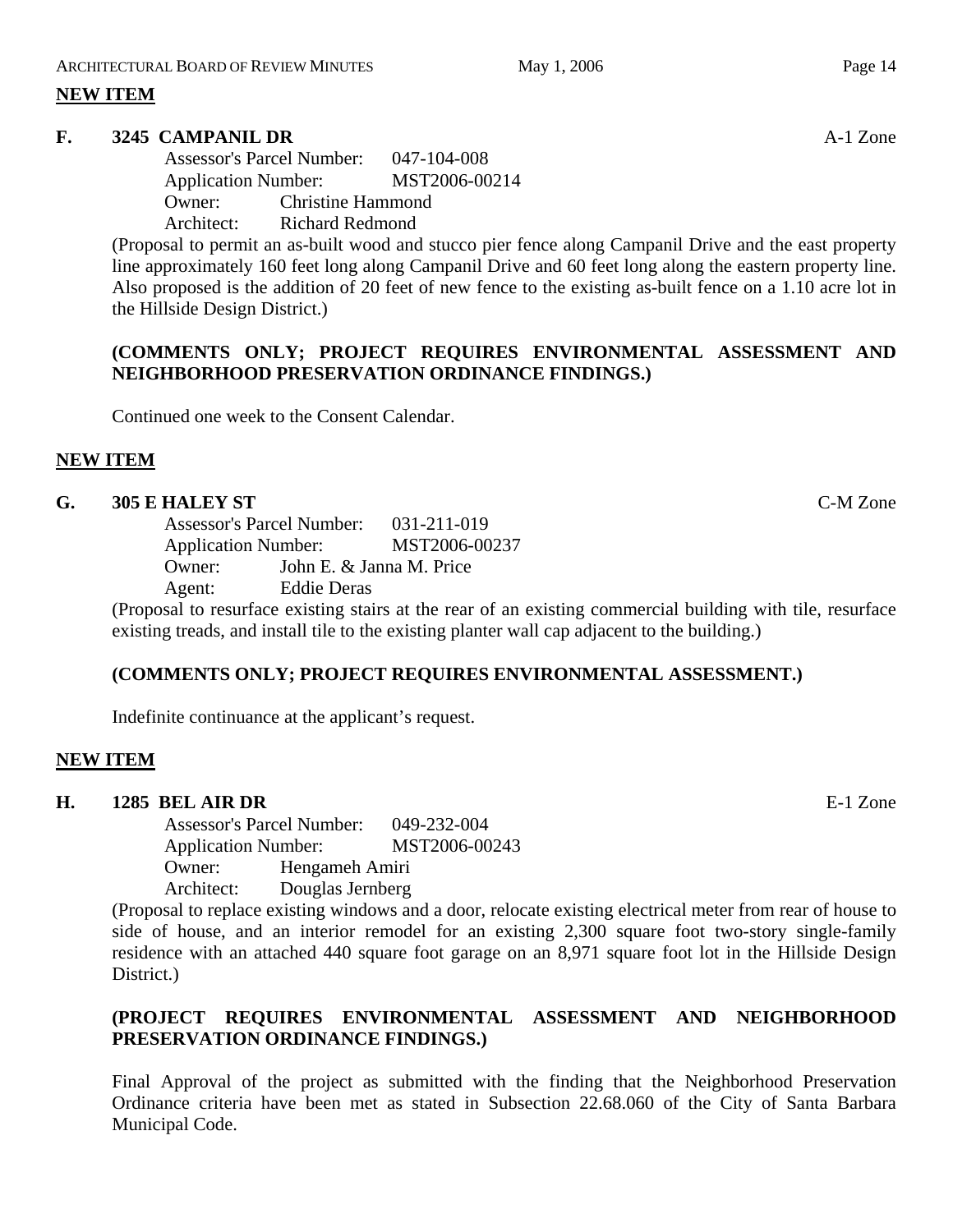# **NEW ITEM**

### **F. 3245 CAMPANIL DR** A-1 Zone

Assessor's Parcel Number: 047-104-008 Application Number: MST2006-00214 Owner: Christine Hammond Architect: Richard Redmond

(Proposal to permit an as-built wood and stucco pier fence along Campanil Drive and the east property line approximately 160 feet long along Campanil Drive and 60 feet long along the eastern property line. Also proposed is the addition of 20 feet of new fence to the existing as-built fence on a 1.10 acre lot in the Hillside Design District.)

# **(COMMENTS ONLY; PROJECT REQUIRES ENVIRONMENTAL ASSESSMENT AND NEIGHBORHOOD PRESERVATION ORDINANCE FINDINGS.)**

Continued one week to the Consent Calendar.

# **NEW ITEM**

### **G. 305 E HALEY ST** C-M Zone

Assessor's Parcel Number: 031-211-019 Application Number: MST2006-00237 Owner: John E. & Janna M. Price Agent: Eddie Deras

(Proposal to resurface existing stairs at the rear of an existing commercial building with tile, resurface existing treads, and install tile to the existing planter wall cap adjacent to the building.)

### **(COMMENTS ONLY; PROJECT REQUIRES ENVIRONMENTAL ASSESSMENT.)**

Indefinite continuance at the applicant's request.

### **NEW ITEM**

### **H. 1285 BEL AIR DR** E-1 Zone

Assessor's Parcel Number: 049-232-004 Application Number: MST2006-00243 Owner: Hengameh Amiri Architect: Douglas Jernberg

(Proposal to replace existing windows and a door, relocate existing electrical meter from rear of house to side of house, and an interior remodel for an existing 2,300 square foot two-story single-family residence with an attached 440 square foot garage on an 8,971 square foot lot in the Hillside Design District.)

# **(PROJECT REQUIRES ENVIRONMENTAL ASSESSMENT AND NEIGHBORHOOD PRESERVATION ORDINANCE FINDINGS.)**

Final Approval of the project as submitted with the finding that the Neighborhood Preservation Ordinance criteria have been met as stated in Subsection 22.68.060 of the City of Santa Barbara Municipal Code.